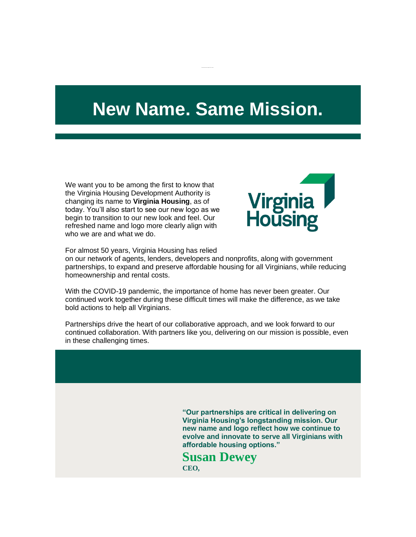## **New Name. Same Mission.**

We want you to be among the first to know that the Virginia Housing Development Authority is changing its name to **Virginia Housing**, as of today. You'll also start to see our new logo as we begin to transition to our new look and feel. Our refreshed name and logo more clearly align with who we are and what we do.



For almost 50 years, Virginia Housing has relied

on our network of agents, lenders, developers and nonprofits, along with government partnerships, to expand and preserve affordable housing for all Virginians, while reducing homeownership and rental costs.

With the COVID-19 pandemic, the importance of home has never been greater. Our continued work together during these difficult times will make the difference, as we take bold actions to help all Virginians.

Partnerships drive the heart of our collaborative approach, and we look forward to our continued collaboration. With partners like you, delivering on our mission is possible, even in these challenging times.

> **"Our partnerships are critical in delivering on Virginia Housing's longstanding mission. Our new name and logo reflect how we continue to evolve and innovate to serve all Virginians with affordable housing options."**

**Susan Dewey CEO,**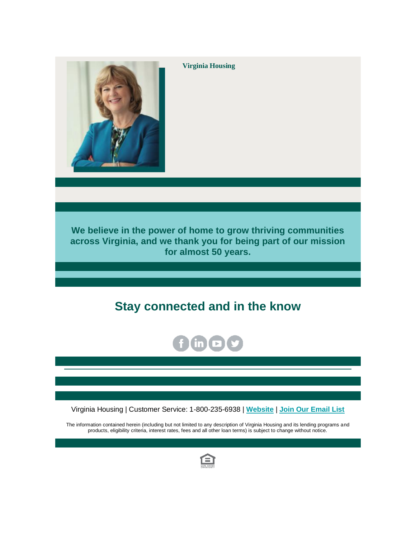

**Virginia Housing**

**We believe in the power of home to grow thriving communities across Virginia, and we thank you for being part of our mission for almost 50 years.**

## **Stay connected and in the know**



Virginia Housing | Customer Service: 1-800-235-6938 | **[Website](http://r20.rs6.net/tn.jsp?f=001yY3i1fuzehdTyLqiV7ATCxAr_agg84kJ9Wzlbr8UtsMDWFzJaGYFQ0r-SnmGCAbwypOIZfYENMJiq73OE1aKjZnuJn4XUIlelq0HoBdvqPBDZcvv9cY033sbsBM8NEHACUhXTl9QqQUlirj7OdefYvr99cUr2rPB&c=M4-bf0CG5cBdfOIL2_uA3IwyRh6AiJLyemOfBMuVL1N7ds-XA_d7nA==&ch=v0aPPPNz8ywZAJ69tGZoX-PZCLAAvdh4ki3cwIYyB7M7WYqaItlB8A==)** | **[Join Our Email List](http://r20.rs6.net/tn.jsp?f=001yY3i1fuzehdTyLqiV7ATCxAr_agg84kJ9Wzlbr8UtsMDWFzJaGYFQ0r-SnmGCAbwwinnx8nfRJHKT_h6ppv7VjplftEmb5ElLQmRPPJIMEN_oYbk1AAcPTDWe5MujCKJlkPP8Xlu4O1DuzeApePJdK6KEPLQ_yrFEt2WrSxGOd9ZATgyBgB64DgmIBc9CL3hFp5t5aay1kmGD0zLnYVmgsBby7VYWWMw&c=M4-bf0CG5cBdfOIL2_uA3IwyRh6AiJLyemOfBMuVL1N7ds-XA_d7nA==&ch=v0aPPPNz8ywZAJ69tGZoX-PZCLAAvdh4ki3cwIYyB7M7WYqaItlB8A==)**

The information contained herein (including but not limited to any description of Virginia Housing and its lending programs and products, eligibility criteria, interest rates, fees and all other loan terms) is subject to change without notice.